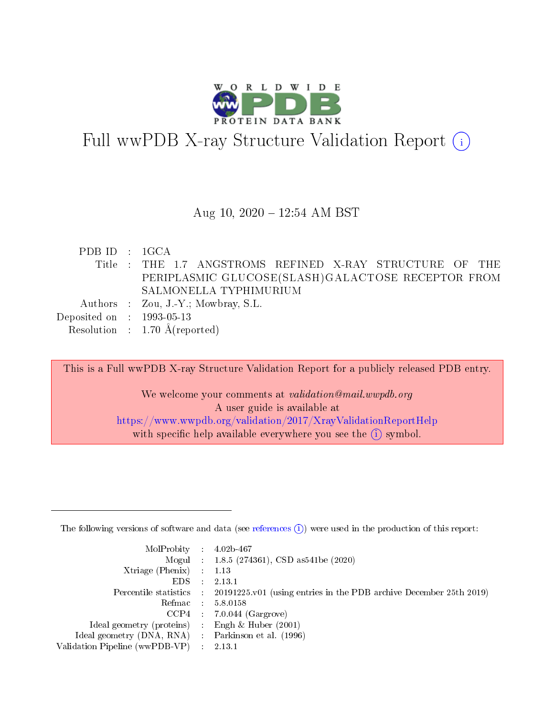

# Full wwPDB X-ray Structure Validation Report  $(i)$

#### Aug 10,  $2020 - 12:54$  AM BST

| PDBID : 1GCA                |                                                          |
|-----------------------------|----------------------------------------------------------|
|                             | Title : THE 1.7 ANGSTROMS REFINED X-RAY STRUCTURE OF THE |
|                             | PERIPLASMIC GLUCOSE(SLASH)GALACTOSE RECEPTOR FROM        |
|                             | SALMONELLA TYPHIMURIUM                                   |
|                             | Authors : Zou, J.-Y.; Mowbray, S.L.                      |
| Deposited on : $1993-05-13$ |                                                          |
|                             | Resolution : $1.70 \text{ Å}$ (reported)                 |

This is a Full wwPDB X-ray Structure Validation Report for a publicly released PDB entry. We welcome your comments at validation@mail.wwpdb.org A user guide is available at <https://www.wwpdb.org/validation/2017/XrayValidationReportHelp> with specific help available everywhere you see the  $(i)$  symbol.

The following versions of software and data (see [references](https://www.wwpdb.org/validation/2017/XrayValidationReportHelp#references)  $(1)$ ) were used in the production of this report:

| $MolProbability$ 4.02b-467                         |                                                                                            |
|----------------------------------------------------|--------------------------------------------------------------------------------------------|
|                                                    | Mogul : $1.8.5$ (274361), CSD as 541be (2020)                                              |
| Xtriage (Phenix) $: 1.13$                          |                                                                                            |
| $EDS$ :                                            | 2.13.1                                                                                     |
|                                                    | Percentile statistics : 20191225.v01 (using entries in the PDB archive December 25th 2019) |
|                                                    | Refmac 5.8.0158                                                                            |
|                                                    | $CCP4$ 7.0.044 (Gargrove)                                                                  |
| Ideal geometry (proteins) : Engh $\&$ Huber (2001) |                                                                                            |
| Ideal geometry (DNA, RNA) Parkinson et al. (1996)  |                                                                                            |
| Validation Pipeline (wwPDB-VP) : 2.13.1            |                                                                                            |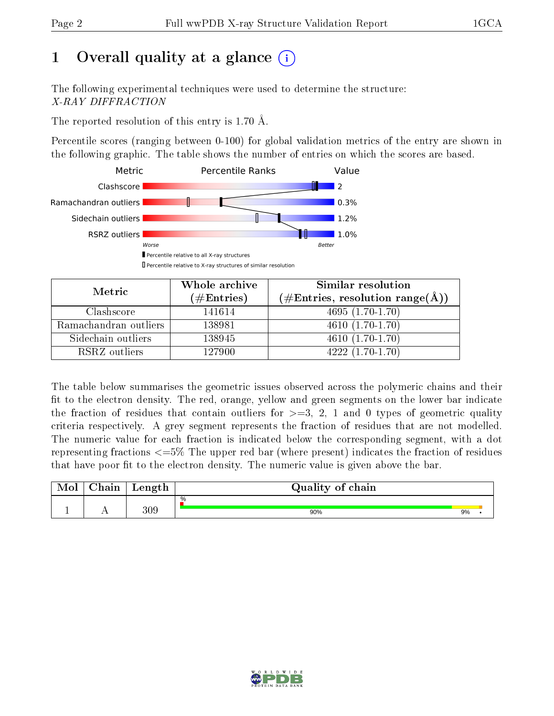# 1 [O](https://www.wwpdb.org/validation/2017/XrayValidationReportHelp#overall_quality)verall quality at a glance  $(i)$

The following experimental techniques were used to determine the structure: X-RAY DIFFRACTION

The reported resolution of this entry is 1.70 Å.

Percentile scores (ranging between 0-100) for global validation metrics of the entry are shown in the following graphic. The table shows the number of entries on which the scores are based.



| Metric                | Whole archive<br>$(\#\text{Entries})$ | <b>Similar resolution</b><br>$(\#\text{Entries}, \text{resolution range}(\AA))$ |
|-----------------------|---------------------------------------|---------------------------------------------------------------------------------|
| Clashscore            | 141614                                | $4695(1.70-1.70)$                                                               |
| Ramachandran outliers | 138981                                | $4610(1.70-1.70)$                                                               |
| Sidechain outliers    | 138945                                | $4610(1.70-1.70)$                                                               |
| RSRZ outliers         | 127900                                | $4222(1.70-1.70)$                                                               |

The table below summarises the geometric issues observed across the polymeric chains and their fit to the electron density. The red, orange, yellow and green segments on the lower bar indicate the fraction of residues that contain outliers for  $\geq=3$ , 2, 1 and 0 types of geometric quality criteria respectively. A grey segment represents the fraction of residues that are not modelled. The numeric value for each fraction is indicated below the corresponding segment, with a dot representing fractions  $\epsilon = 5\%$  The upper red bar (where present) indicates the fraction of residues that have poor fit to the electron density. The numeric value is given above the bar.

| $\cap$ hain | Length | Quality of chain |    |  |  |  |  |  |  |
|-------------|--------|------------------|----|--|--|--|--|--|--|
|             |        | $\%$             |    |  |  |  |  |  |  |
| . .         | 309    | 90%              | 9% |  |  |  |  |  |  |

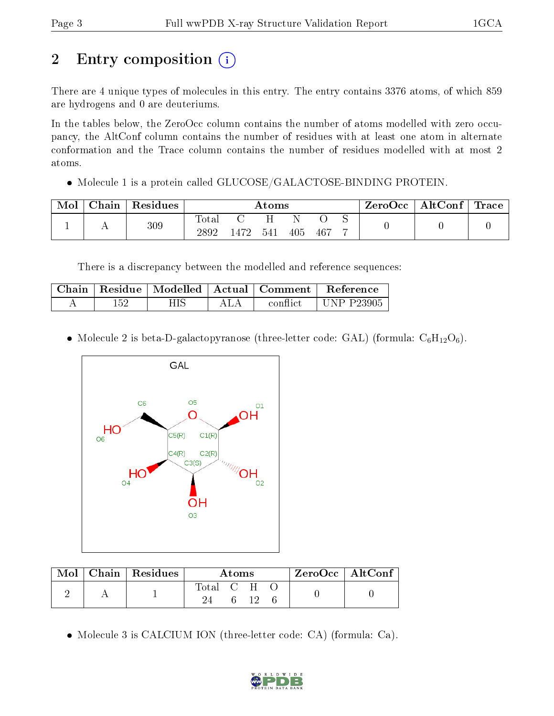# 2 Entry composition (i)

There are 4 unique types of molecules in this entry. The entry contains 3376 atoms, of which 859 are hydrogens and 0 are deuteriums.

In the tables below, the ZeroOcc column contains the number of atoms modelled with zero occupancy, the AltConf column contains the number of residues with at least one atom in alternate conformation and the Trace column contains the number of residues modelled with at most 2 atoms.

 $\bullet$  Molecule 1 is a protein called GLUCOSE/GALACTOSE-BINDING PROTEIN.

| Mol | $\operatorname{\mathsf{Chain}}$ | Residues | $\rm{Atoms}$  |     |     |     |      | ZeroOcc | $\mid$ AltConf $\mid$ Trace |  |  |
|-----|---------------------------------|----------|---------------|-----|-----|-----|------|---------|-----------------------------|--|--|
|     | <u>. .</u>                      | 309      | Total<br>2892 | 472 | 541 | 405 | -467 |         |                             |  |  |

There is a discrepancy between the modelled and reference sequences:

|     |  | Chain   Residue   Modelled   Actual   Comment | . Reference .     |
|-----|--|-----------------------------------------------|-------------------|
| 152 |  | conflict                                      | <b>UNP P23905</b> |

• Molecule 2 is beta-D-galactopyranose (three-letter code: GAL) (formula:  $C_6H_{12}O_6$ ).



| $\bf{Mol}$ | Chain   Residues | Atoms     |  |  |  | ZeroOcc   AltConf |
|------------|------------------|-----------|--|--|--|-------------------|
|            |                  | Total C H |  |  |  |                   |
|            |                  |           |  |  |  |                   |

Molecule 3 is CALCIUM ION (three-letter code: CA) (formula: Ca).

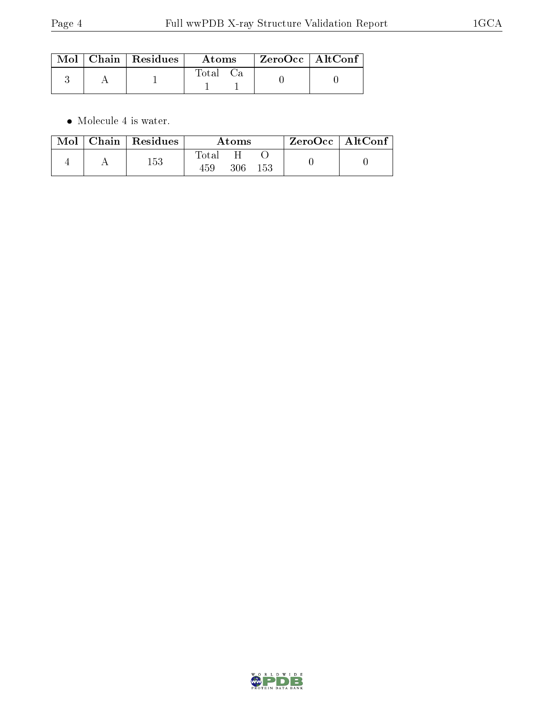|  | $\parallel$ Mol $\parallel$ Chain $\parallel$ Residues $\parallel$ | Atoms    | $\perp$ ZeroOcc $\parallel$ AltConf $\parallel$ |  |
|--|--------------------------------------------------------------------|----------|-------------------------------------------------|--|
|  |                                                                    | Total Ca |                                                 |  |

 $\bullet\,$  Molecule 4 is water.

|  | $\parallel$ Mol $\parallel$ Chain $\parallel$ Residues | Atoms        |     |      | $ZeroOcc$   AltConf |
|--|--------------------------------------------------------|--------------|-----|------|---------------------|
|  | $153\,$                                                | Total<br>459 | 306 | -153 |                     |

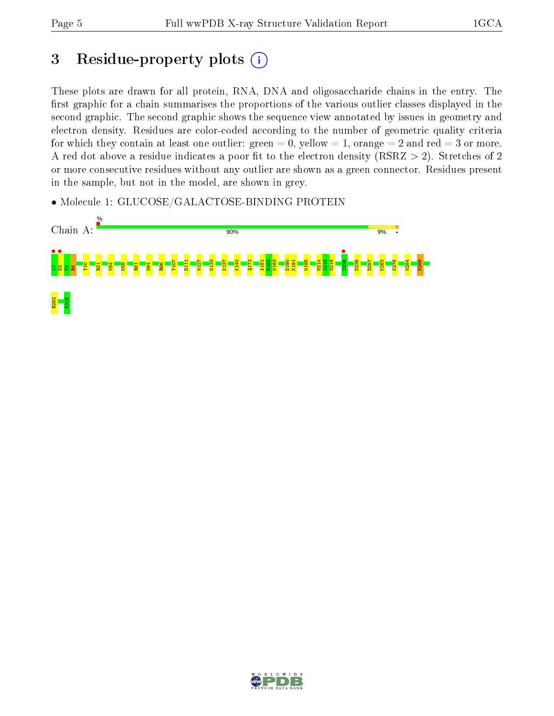## 3 Residue-property plots  $(i)$

These plots are drawn for all protein, RNA, DNA and oligosaccharide chains in the entry. The first graphic for a chain summarises the proportions of the various outlier classes displayed in the second graphic. The second graphic shows the sequence view annotated by issues in geometry and electron density. Residues are color-coded according to the number of geometric quality criteria for which they contain at least one outlier: green  $= 0$ , yellow  $= 1$ , orange  $= 2$  and red  $= 3$  or more. A red dot above a residue indicates a poor fit to the electron density ( $RSRZ > 2$ ). Stretches of 2 or more consecutive residues without any outlier are shown as a green connector. Residues present in the sample, but not in the model, are shown in grey.

• Molecule 1: GLUCOSE/GALACTOSE-BINDING PROTEIN



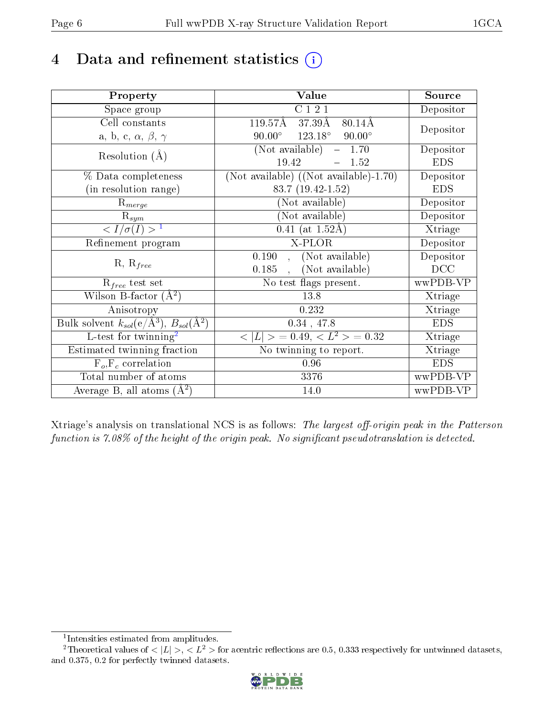## 4 Data and refinement statistics  $(i)$

| Property                                                             | Value                                             | Source                         |
|----------------------------------------------------------------------|---------------------------------------------------|--------------------------------|
| Space group                                                          | C121                                              | $\overline{\text{De}}$ positor |
| Cell constants                                                       | 119.57Å<br>$37.39\text{\AA}$<br>$80.14\text{\AA}$ |                                |
| a, b, c, $\alpha$ , $\beta$ , $\gamma$                               | $90.00^{\circ}$ $123.18^{\circ}$<br>$90.00^\circ$ | Depositor                      |
| Resolution $(A)$                                                     | (Not available)<br>1.70<br>$\equiv$               | Depositor                      |
|                                                                      | 19.42<br>1.52                                     | <b>EDS</b>                     |
| % Data completeness                                                  | $(Not available)$ $((Not available)-1.70)$        | Depositor                      |
| (in resolution range)                                                | 83.7 (19.42-1.52)                                 | <b>EDS</b>                     |
| $\mathrm{R}_{merge}$                                                 | (Not available)                                   | Depositor                      |
| $\mathrm{R}_{sym}$                                                   | (Not available)                                   | Depositor                      |
| $\langle I/\sigma(I)\rangle^{-1}$                                    | 0.41 (at $1.52\text{\AA}$ )                       | Xtriage                        |
| Refinement program                                                   | X-PLOR                                            | Depositor                      |
| $R, R_{free}$                                                        | , (Not available)<br>0.190                        | Depositor                      |
|                                                                      | (Not available)<br>0.185<br>$\mathbf{A}$          | DCC                            |
| $R_{free}$ test set                                                  | No test flags present.                            | wwPDB-VP                       |
| Wilson B-factor $(A^2)$                                              | 13.8                                              | Xtriage                        |
| Anisotropy                                                           | 0.232                                             | Xtriage                        |
| Bulk solvent $k_{sol}(e/\mathring{A}^3)$ , $B_{sol}(\mathring{A}^2)$ | 0.34, 47.8                                        | <b>EDS</b>                     |
| L-test for $\text{twinning}^2$                                       | $< L >$ = 0.49, $< L^2 >$ = 0.32                  | $\overline{\text{X}}$ triage   |
| Estimated twinning fraction                                          | No twinning to report.                            | Xtriage                        |
| $F_o, F_c$ correlation                                               | 0.96                                              | <b>EDS</b>                     |
| Total number of atoms                                                | 3376                                              | wwPDB-VP                       |
| Average B, all atoms $(A^2)$                                         | 14.0                                              | wwPDB-VP                       |

Xtriage's analysis on translational NCS is as follows: The largest off-origin peak in the Patterson function is  $7.08\%$  of the height of the origin peak. No significant pseudotranslation is detected.

<sup>&</sup>lt;sup>2</sup>Theoretical values of  $\langle |L| \rangle$ ,  $\langle L^2 \rangle$  for acentric reflections are 0.5, 0.333 respectively for untwinned datasets, and 0.375, 0.2 for perfectly twinned datasets.



<span id="page-5-1"></span><span id="page-5-0"></span><sup>1</sup> Intensities estimated from amplitudes.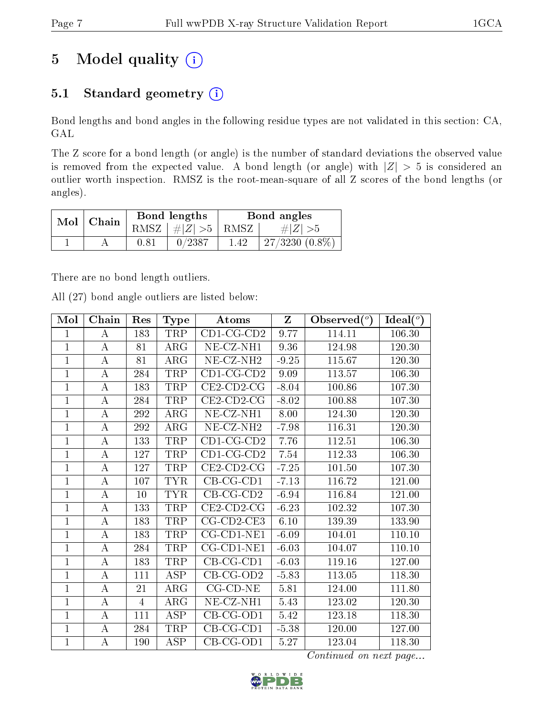## 5 Model quality  $(i)$

## 5.1 Standard geometry  $(i)$

Bond lengths and bond angles in the following residue types are not validated in this section: CA, GAL

The Z score for a bond length (or angle) is the number of standard deviations the observed value is removed from the expected value. A bond length (or angle) with  $|Z| > 5$  is considered an outlier worth inspection. RMSZ is the root-mean-square of all Z scores of the bond lengths (or angles).

| Mol | $\mathord{\hspace{1pt}\text{}}^{\mathord{\text{}}\mathord{\hspace{1pt}\text{}}\mathord{\hspace{1pt}\text{}}\mathord{\text{}}$ $\mathord{\text{}}$ $\mathord{\hspace{1pt}\text{}}$ $\mathord{\hspace{1pt}\text{}}$ $\mathord{\hspace{1pt}\text{}}$ $\mathord{\hspace{1pt}\text{}}$ $\mathord{\hspace{1pt}\text{}}$ $\mathord{\hspace{1pt}\text{}}$ $\mathord{\hspace{1pt}\text{}}$ $\mathord{\hspace{1pt}\text{}}$ $\mathord{\hspace{1pt}\text{}}$ $\mathord{\hspace{1pt$ |      | Bond lengths                 | Bond angles |                  |  |
|-----|--------------------------------------------------------------------------------------------------------------------------------------------------------------------------------------------------------------------------------------------------------------------------------------------------------------------------------------------------------------------------------------------------------------------------------------------------------------------------|------|------------------------------|-------------|------------------|--|
|     |                                                                                                                                                                                                                                                                                                                                                                                                                                                                          |      | RMSZ $\mid \#Z \mid >5$ RMSZ |             | # Z  > 5         |  |
|     |                                                                                                                                                                                                                                                                                                                                                                                                                                                                          | 0.81 | 0/2387                       | 1.42        | $27/3230(0.8\%)$ |  |

There are no bond length outliers.

All (27) bond angle outliers are listed below:

| Mol            | Chain            | Res | <b>Type</b> | Atoms                 | $\mathbf{Z}$ | Observed $(°)$ | Ideal $(°)$ |
|----------------|------------------|-----|-------------|-----------------------|--------------|----------------|-------------|
| $\mathbf{1}$   | А                | 183 | TRP         | $CD1$ -CG-CD2         | 9.77         | 114.11         | 106.30      |
| $\mathbf{1}$   | $\boldsymbol{A}$ | 81  | ARG         | NE-CZ-NH1             | 9.36         | 124.98         | 120.30      |
| $\overline{1}$ | А                | 81  | ARG         | NE-CZ-NH <sub>2</sub> | $-9.25$      | 115.67         | 120.30      |
| $\overline{1}$ | $\bf{A}$         | 284 | TRP         | $CD1$ -CG-CD2         | 9.09         | 113.57         | 106.30      |
| $\mathbf{1}$   | А                | 183 | TRP         | $CE2$ -CD2-CG         | $-8.04$      | 100.86         | 107.30      |
| $\mathbf 1$    | $\bf{A}$         | 284 | TRP         | $CE2$ -CD2-CG         | $-8.02$      | 100.88         | 107.30      |
| $\mathbf{1}$   | A                | 292 | $\rm{ARG}$  | NE-CZ-NH1             | 8.00         | 124.30         | 120.30      |
| 1              | $\bf{A}$         | 292 | ARG         | NE-CZ-NH <sub>2</sub> | $-7.98$      | 116.31         | 120.30      |
| $\mathbf{1}$   | $\bf{A}$         | 133 | TRP         | $CD1$ -CG-CD2         | 7.76         | 112.51         | 106.30      |
| 1              | $\boldsymbol{A}$ | 127 | TRP         | $CD1-CG-CD2$          | 7.54         | 112.33         | 106.30      |
| $\mathbf{1}$   | $\boldsymbol{A}$ | 127 | TRP         | $CE2$ -CD2-CG         | $-7.25$      | 101.50         | 107.30      |
| $\mathbf{1}$   | А                | 107 | TYR         | $CB-CG-CD1$           | $-7.13$      | 116.72         | 121.00      |
| $\mathbf{1}$   | $\overline{A}$   | 10  | <b>TYR</b>  | $CB-CG-CD2$           | $-6.94$      | 116.84         | 121.00      |
| $\mathbf{1}$   | $\bf{A}$         | 133 | TRP         | $CE2$ -CD2-CG         | $-6.23$      | 102.32         | 107.30      |
| $\mathbf{1}$   | $\bf{A}$         | 183 | TRP         | $CG$ - $CD$ 2- $CE$ 3 | 6.10         | 139.39         | 133.90      |
| $\mathbf 1$    | A                | 183 | TRP         | $CG$ - $CD1$ - $NE1$  | $-6.09$      | 104.01         | 110.10      |
| $\mathbf 1$    | $\bf{A}$         | 284 | TRP         | $CG$ - $CD1$ - $NE1$  | $-6.03$      | 104.07         | 110.10      |
| $\overline{1}$ | $\bf{A}$         | 183 | TRP         | $CB-CG-CD1$           | $-6.03$      | 119.16         | 127.00      |
| $\mathbf 1$    | $\bf{A}$         | 111 | <b>ASP</b>  | $CB$ -CG-OD2          | $-5.83$      | 113.05         | 118.30      |
| $\overline{1}$ | А                | 21  | $\rm{ARG}$  | $CG$ - $CD$ - $NE$    | 5.81         | 124.00         | 111.80      |
| $\mathbf 1$    | А                | 4   | ARG         | NE-CZ-NH1             | 5.43         | 123.02         | 120.30      |
| $\overline{1}$ | $\boldsymbol{A}$ | 111 | ASP         | $CB-CG-OD1$           | 5.42         | 123.18         | 118.30      |
| $\mathbf{1}$   | $\bf{A}$         | 284 | TRP         | $CB-CG-CD1$           | $-5.38$      | 120.00         | 127.00      |
| $\mathbf{1}$   | A                | 190 | ASP         | $CB-CG-OD1$           | $5.27\,$     | 123.04         | 118.30      |

Continued on next page...

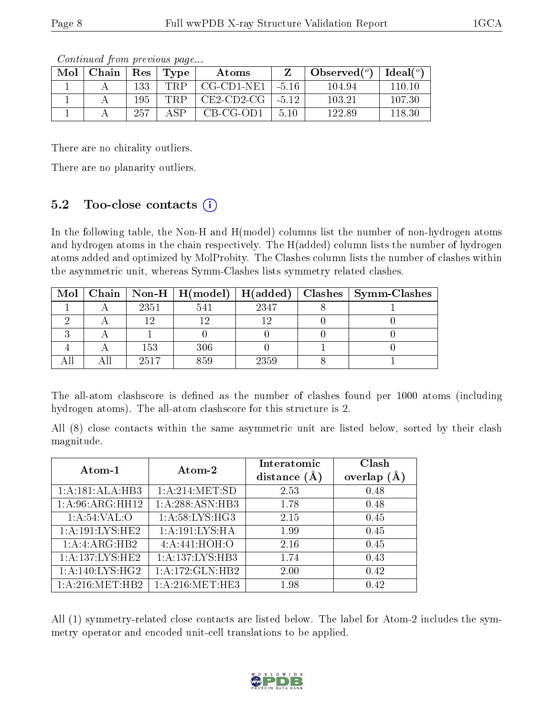| Mol | Chain   $\text{Res}$ $\vert$ |     | $\perp$ Type | Atoms                  |      | Observed( $^{\circ}$ )   Ideal( $^{\circ}$ ) |        |
|-----|------------------------------|-----|--------------|------------------------|------|----------------------------------------------|--------|
|     |                              | 133 | TRP          | $CG-CD1-NE1$   $-5.16$ |      | 104.94                                       | 110.10 |
|     |                              | 195 | TRP.         | $CE2$ -CD2-CG   -5.12  |      | 103.21                                       | 107.30 |
|     |                              | 257 | ΔSΡ          | $CB-CG-OD1$            | 5.10 | 122.89                                       | 118.30 |

Continued from previous page...

There are no chirality outliers.

There are no planarity outliers.

### 5.2 Too-close contacts  $(i)$

In the following table, the Non-H and H(model) columns list the number of non-hydrogen atoms and hydrogen atoms in the chain respectively. The H(added) column lists the number of hydrogen atoms added and optimized by MolProbity. The Clashes column lists the number of clashes within the asymmetric unit, whereas Symm-Clashes lists symmetry related clashes.

|  |      |     |      | Mol   Chain   Non-H   H(model)   H(added)   Clashes   Symm-Clashes |
|--|------|-----|------|--------------------------------------------------------------------|
|  | 2351 | 541 | 2347 |                                                                    |
|  |      |     |      |                                                                    |
|  |      |     |      |                                                                    |
|  | 153  | 306 |      |                                                                    |
|  | 2517 | 859 | 2359 |                                                                    |

The all-atom clashscore is defined as the number of clashes found per 1000 atoms (including hydrogen atoms). The all-atom clashscore for this structure is 2.

All (8) close contacts within the same asymmetric unit are listed below, sorted by their clash magnitude.

| Atom-1             | Atom-2            | Interatomic    | Clash         |
|--------------------|-------------------|----------------|---------------|
|                    |                   | distance $(A)$ | overlap $(A)$ |
| 1:A:181:ALA:HB3    | 1: A:214: MET:SD  | 2.53           | 0.48          |
| 1: A:96: ARG: HH12 | 1: A:288: ASN:HB3 | 1.78           | 0.48          |
| 1:A:54:VAL:O       | 1: A:58: LYS: HG3 | 2.15           | 0.45          |
| 1: A:191:LYS:HE2   | 1:A:191:LYS:HA    | 1.99           | 0.45          |
| 1:A:ARG:HB2        | 4: A:441:HOH:O    | 2.16           | 0.45          |
| 1:A:137:LYS:HE2    | 1:A:137:LYS:HB3   | 1.74           | 0.43          |
| 1: A:140: LYS:HG2  | 1:A:172:GLN:HB2   | 2.00           | 0.42          |
| 1:A:216:MET:HB2    | 1: A:216: MET:HE3 | 1.98           | 0.42          |

All (1) symmetry-related close contacts are listed below. The label for Atom-2 includes the symmetry operator and encoded unit-cell translations to be applied.

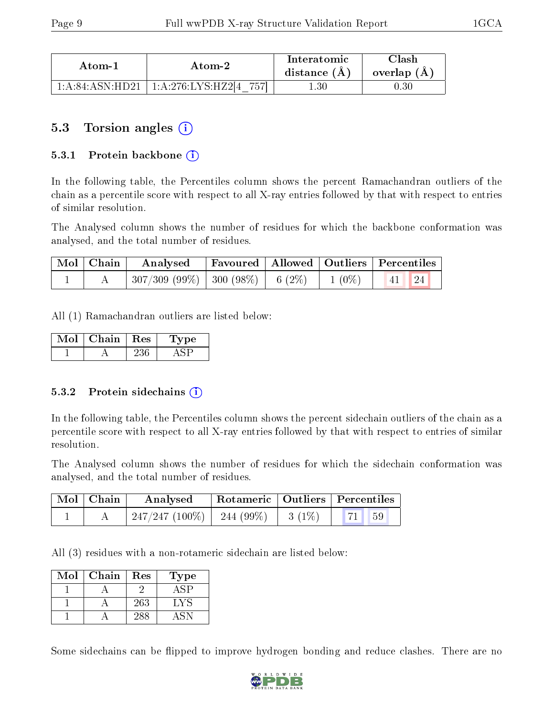| Atom-1                                      | Atom-2              | Interatomic<br>distance $(A)$ | Clash<br>overlap (A) |
|---------------------------------------------|---------------------|-------------------------------|----------------------|
| $1 \cdot A \cdot 84 \cdot A SN \cdot H D21$ | 1: A:276:LYS:HZ2[4] | 0.30                          | , 30-                |

### 5.3 Torsion angles (i)

#### 5.3.1 Protein backbone  $(i)$

In the following table, the Percentiles column shows the percent Ramachandran outliers of the chain as a percentile score with respect to all X-ray entries followed by that with respect to entries of similar resolution.

The Analysed column shows the number of residues for which the backbone conformation was analysed, and the total number of residues.

| Mol   Chain | Analysed                                          |  | Favoured   Allowed   Outliers   Percentiles |
|-------------|---------------------------------------------------|--|---------------------------------------------|
|             | $307/309$ (99\%)   300 (98\%)   6 (2\%)   1 (0\%) |  | 24<br> 41                                   |

All (1) Ramachandran outliers are listed below:

| Mol | Chain | $\perp$ Res | Type |
|-----|-------|-------------|------|
|     |       |             |      |

#### 5.3.2 Protein sidechains  $(i)$

In the following table, the Percentiles column shows the percent sidechain outliers of the chain as a percentile score with respect to all X-ray entries followed by that with respect to entries of similar resolution.

The Analysed column shows the number of residues for which the sidechain conformation was analysed, and the total number of residues.

| $\mid$ Mol $\mid$ Chain $\mid$ | Analysed                   |                    | Rotameric   Outliers   Percentiles |
|--------------------------------|----------------------------|--------------------|------------------------------------|
|                                | 247/247 (100%)   244 (99%) | $\frac{1}{3}(1\%)$ | <b>71</b> 59                       |

All (3) residues with a non-rotameric sidechain are listed below:

| Mol | Chain | Res | Type           |
|-----|-------|-----|----------------|
|     |       |     |                |
|     |       | 263 | $\cdot$ $_{N}$ |
|     |       |     |                |

Some sidechains can be flipped to improve hydrogen bonding and reduce clashes. There are no

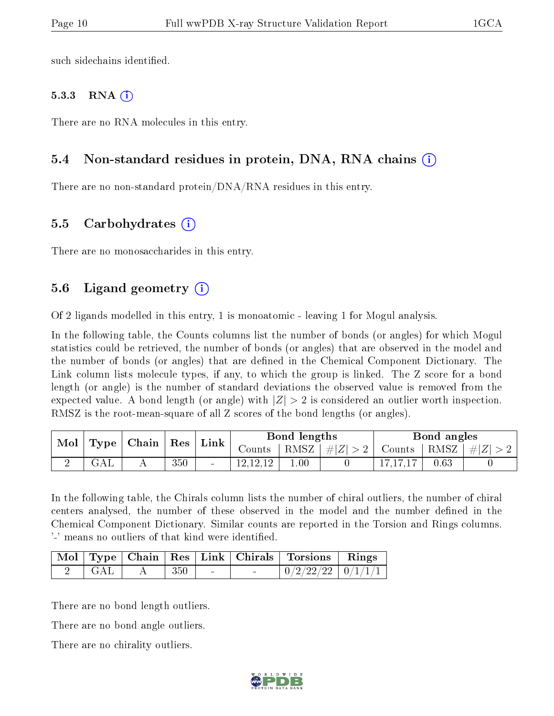such sidechains identified.

#### 5.3.3 RNA  $(i)$

There are no RNA molecules in this entry.

#### 5.4 Non-standard residues in protein, DNA, RNA chains  $\Omega$  $\Omega$  $\Omega$

There are no non-standard protein/DNA/RNA residues in this entry.

#### 5.5 Carbohydrates (i)

There are no monosaccharides in this entry.

#### 5.6 Ligand geometry  $(i)$

Of 2 ligands modelled in this entry, 1 is monoatomic - leaving 1 for Mogul analysis.

In the following table, the Counts columns list the number of bonds (or angles) for which Mogul statistics could be retrieved, the number of bonds (or angles) that are observed in the model and the number of bonds (or angles) that are defined in the Chemical Component Dictionary. The Link column lists molecule types, if any, to which the group is linked. The Z score for a bond length (or angle) is the number of standard deviations the observed value is removed from the expected value. A bond length (or angle) with  $|Z| > 2$  is considered an outlier worth inspection. RMSZ is the root-mean-square of all Z scores of the bond lengths (or angles).

| Mol |                      | $\mid$ Chain $\mid$ Res $\mid$ |     | Link |            | Bond lengths |         |               | Bond angles |               |
|-----|----------------------|--------------------------------|-----|------|------------|--------------|---------|---------------|-------------|---------------|
|     | Type                 |                                |     |      | Counts '   | RMSZ         | #Z  > 2 | Counts   RMSZ |             | $\perp \# Z $ |
|     | $\operatorname{GAL}$ |                                | 350 |      | 12, 12, 12 | $00$ .       |         |               | 0.63        |               |

In the following table, the Chirals column lists the number of chiral outliers, the number of chiral centers analysed, the number of these observed in the model and the number defined in the Chemical Component Dictionary. Similar counts are reported in the Torsion and Rings columns. '-' means no outliers of that kind were identified.

|     |     |   | Mol Type Chain Res Link Chirals Torsions Rings |  |
|-----|-----|---|------------------------------------------------|--|
| GAT | 350 | - | $\mid 0/2/22/22 \mid 0/1/1/1 \mid$             |  |

There are no bond length outliers.

There are no bond angle outliers.

There are no chirality outliers.

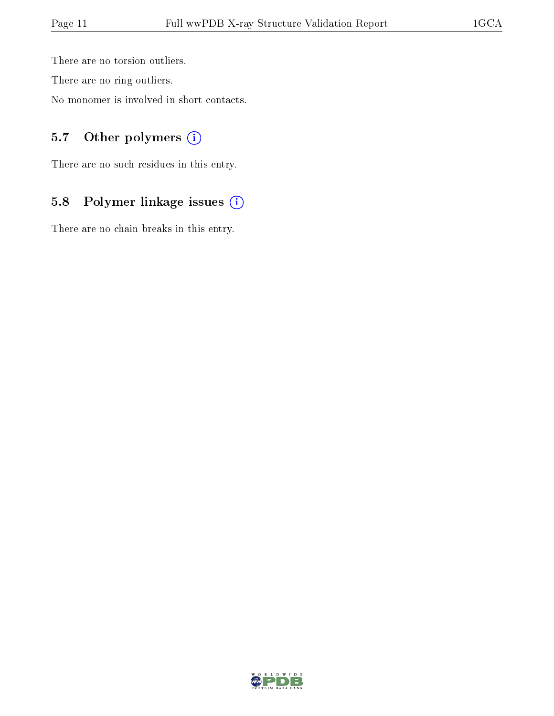There are no torsion outliers.

There are no ring outliers.

No monomer is involved in short contacts.

### 5.7 [O](https://www.wwpdb.org/validation/2017/XrayValidationReportHelp#nonstandard_residues_and_ligands)ther polymers (i)

There are no such residues in this entry.

### 5.8 Polymer linkage issues (i)

There are no chain breaks in this entry.

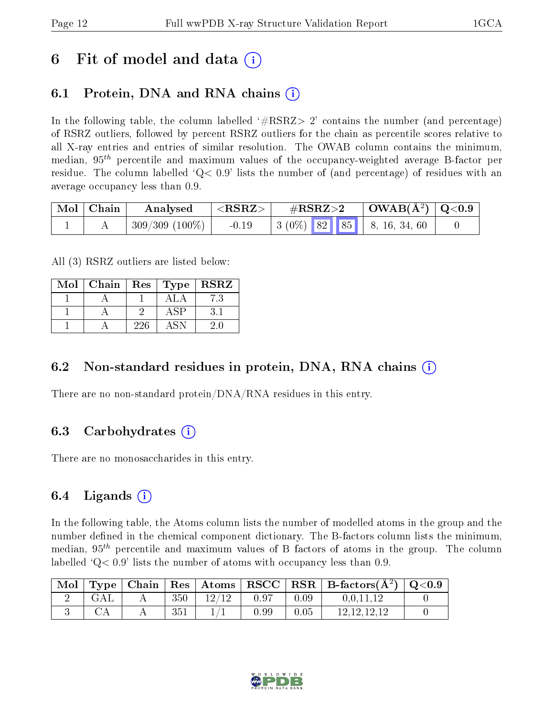## 6 Fit of model and data  $\left( \cdot \right)$

## 6.1 Protein, DNA and RNA chains (i)

In the following table, the column labelled  $#RSRZ>2'$  contains the number (and percentage) of RSRZ outliers, followed by percent RSRZ outliers for the chain as percentile scores relative to all X-ray entries and entries of similar resolution. The OWAB column contains the minimum, median,  $95<sup>th</sup>$  percentile and maximum values of the occupancy-weighted average B-factor per residue. The column labelled  $Q < 0.9$  lists the number of (and percentage) of residues with an average occupancy less than 0.9.

| Mol Chain | Analysed         | $<$ RSRZ $>$ | $\#\text{RSRZ}\text{>2}$                    | $\mid$ OWAB(Å <sup>2</sup> ) $\mid$ Q<0.9 $\mid$ |  |
|-----------|------------------|--------------|---------------------------------------------|--------------------------------------------------|--|
|           | $309/309(100\%)$ | $-0.19$      | $\vert 3 (0\%)$ 82 85 $\vert 8, 16, 34, 60$ |                                                  |  |

All (3) RSRZ outliers are listed below:

| Mol | $\vert$ Chain $\vert$ Res $\vert$ Type $\vert$ RSRZ |     |     |
|-----|-----------------------------------------------------|-----|-----|
|     |                                                     |     | 7.3 |
|     |                                                     |     |     |
|     |                                                     | 226 |     |

### 6.2 Non-standard residues in protein, DNA, RNA chains  $(i)$

There are no non-standard protein/DNA/RNA residues in this entry.

### 6.3 Carbohydrates  $(i)$

There are no monosaccharides in this entry.

### 6.4 Ligands  $(i)$

In the following table, the Atoms column lists the number of modelled atoms in the group and the number defined in the chemical component dictionary. The B-factors column lists the minimum, median,  $95<sup>th</sup>$  percentile and maximum values of B factors of atoms in the group. The column labelled  $Q< 0.9$ ' lists the number of atoms with occupancy less than 0.9.

| $\blacksquare$ |  |     |       |      |      | Type   Chain   Res   Atoms   RSCC   RSR   B-factors $(A^2)$   Q<0.9 |  |
|----------------|--|-----|-------|------|------|---------------------------------------------------------------------|--|
|                |  | 350 | 12/12 | 0.97 | 0.09 | 0.0.11.12                                                           |  |
|                |  | 351 |       | 0.99 | 0.05 | 12.12.12.12                                                         |  |